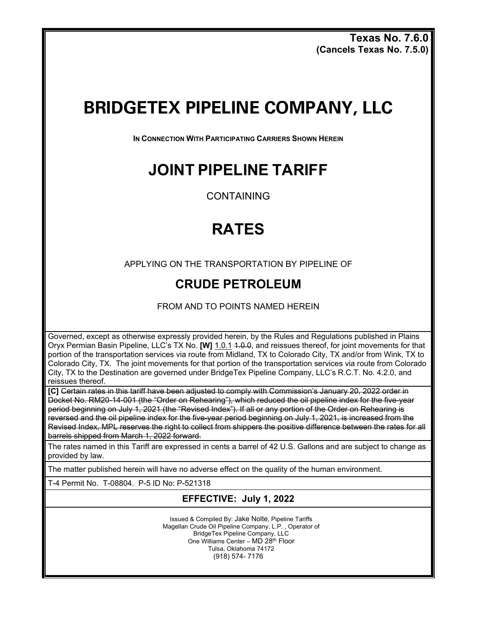**Texas No. 7.6.0 (Cancels Texas No. 7.5.0)** 

# **BRIDGETEX PIPELINE COMPANY, LLC**

**IN CONNECTION WITH PARTICIPATING CARRIERS SHOWN HEREIN**

### **JOINT PIPELINE TARIFF**

CONTAINING

## **RATES**

APPLYING ON THE TRANSPORTATION BY PIPELINE OF

### **CRUDE PETROLEUM**

FROM AND TO POINTS NAMED HEREIN

Governed, except as otherwise expressly provided herein, by the Rules and Regulations published in Plains Oryx Permian Basin Pipeline, LLC's TX No. **[W]** 1.0.1 1.0.0, and reissues thereof, for joint movements for that portion of the transportation services via route from Midland, TX to Colorado City, TX and/or from Wink, TX to Colorado City, TX. The joint movements for that portion of the transportation services via route from Colorado City, TX to the Destination are governed under BridgeTex Pipeline Company, LLC's R.C.T. No. 4.2.0, and reissues thereof.

**[C]** Certain rates in this tariff have been adjusted to comply with Commission's January 20, 2022 order in Docket No. RM20-14-001 (the "Order on Rehearing"), which reduced the oil pipeline index for the five-year period beginning on July 1, 2021 (the "Revised Index"). If all or any portion of the Order on Rehearing is reversed and the oil pipeline index for the five-year period beginning on July 1, 2021, is increased from the Revised Index, MPL reserves the right to collect from shippers the positive difference between the rates for all barrels shipped from March 1, 2022 forward.

The rates named in this Tariff are expressed in cents a barrel of 42 U.S. Gallons and are subject to change as provided by law.

The matter published herein will have no adverse effect on the quality of the human environment.

T-4 Permit No. T-08804. P-5 ID No: P-521318

### **EFFECTIVE: July 1, 2022**

Issued & Compiled By: Jake Nolte, Pipeline Tariffs Magellan Crude Oil Pipeline Company, L.P. , Operator of BridgeTex Pipeline Company, LLC One Williams Center – MD 28th Floor Tulsa, Oklahoma 74172 (918) 574- 7176